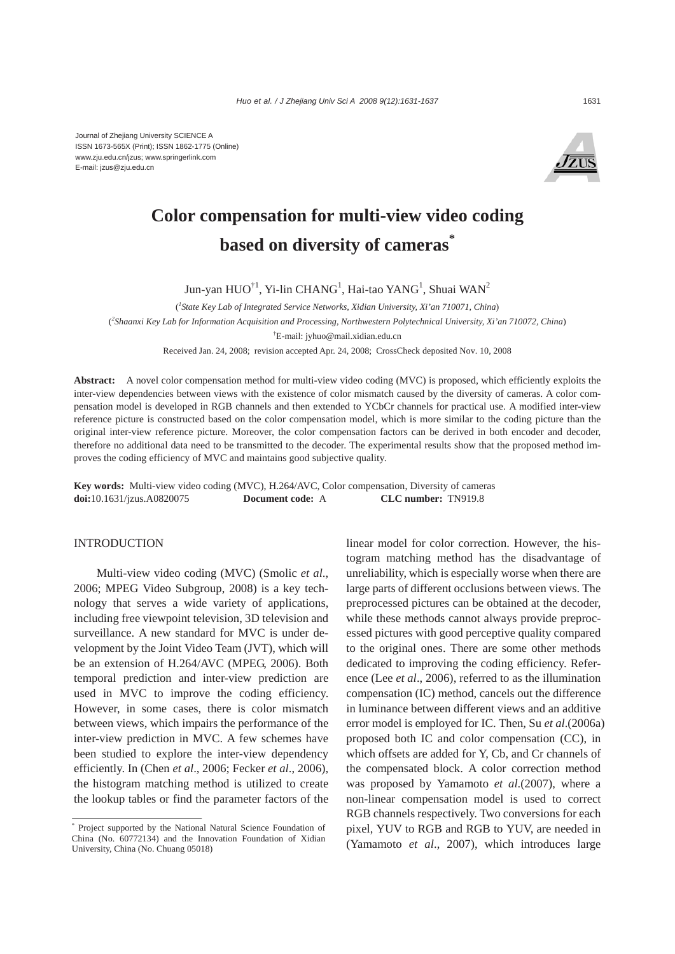Journal of Zhejiang University SCIENCE A ISSN 1673-565X (Print); ISSN 1862-1775 (Online) www.zju.edu.cn/jzus; www.springerlink.com E-mail: jzus@zju.edu.cn



# **Color compensation for multi-view video coding based on diversity of cameras\***

Jun-yan HUO $^{\dagger1}$ , Yi-lin CHANG<sup>1</sup>, Hai-tao YANG<sup>1</sup>, Shuai WAN<sup>2</sup>

( *1 State Key Lab of Integrated Service Networks, Xidian University, Xi'an 710071, China*)

( *2 Shaanxi Key Lab for Information Acquisition and Processing, Northwestern Polytechnical University, Xi'an 710072, China*)

† E-mail: jyhuo@mail.xidian.edu.cn

Received Jan. 24, 2008; revision accepted Apr. 24, 2008; CrossCheck deposited Nov. 10, 2008

**Abstract:** A novel color compensation method for multi-view video coding (MVC) is proposed, which efficiently exploits the inter-view dependencies between views with the existence of color mismatch caused by the diversity of cameras. A color compensation model is developed in RGB channels and then extended to YCbCr channels for practical use. A modified inter-view reference picture is constructed based on the color compensation model, which is more similar to the coding picture than the original inter-view reference picture. Moreover, the color compensation factors can be derived in both encoder and decoder, therefore no additional data need to be transmitted to the decoder. The experimental results show that the proposed method improves the coding efficiency of MVC and maintains good subjective quality.

**Key words:** Multi-view video coding (MVC), H.264/AVC, Color compensation, Diversity of cameras **doi:**10.1631/jzus.A0820075 **Document code:** A **CLC number:** TN919.8

# INTRODUCTION

Multi-view video coding (MVC) (Smolic *et al*., 2006; MPEG Video Subgroup, 2008) is a key technology that serves a wide variety of applications, including free viewpoint television, 3D television and surveillance. A new standard for MVC is under development by the Joint Video Team (JVT), which will be an extension of H.264/AVC (MPEG, 2006). Both temporal prediction and inter-view prediction are used in MVC to improve the coding efficiency. However, in some cases, there is color mismatch between views, which impairs the performance of the inter-view prediction in MVC. A few schemes have been studied to explore the inter-view dependency efficiently. In (Chen *et al*., 2006; Fecker *et al*., 2006), the histogram matching method is utilized to create the lookup tables or find the parameter factors of the linear model for color correction. However, the histogram matching method has the disadvantage of unreliability, which is especially worse when there are large parts of different occlusions between views. The preprocessed pictures can be obtained at the decoder, while these methods cannot always provide preprocessed pictures with good perceptive quality compared to the original ones. There are some other methods dedicated to improving the coding efficiency. Reference (Lee *et al*., 2006), referred to as the illumination compensation (IC) method, cancels out the difference in luminance between different views and an additive error model is employed for IC. Then, Su *et al*.(2006a) proposed both IC and color compensation (CC), in which offsets are added for Y, Cb, and Cr channels of the compensated block. A color correction method was proposed by Yamamoto *et al*.(2007), where a non-linear compensation model is used to correct RGB channels respectively. Two conversions for each pixel, YUV to RGB and RGB to YUV, are needed in (Yamamoto *et al*., 2007), which introduces large

<sup>\*</sup> Project supported by the National Natural Science Foundation of China (No. 60772134) and the Innovation Foundation of Xidian University, China (No. Chuang 05018)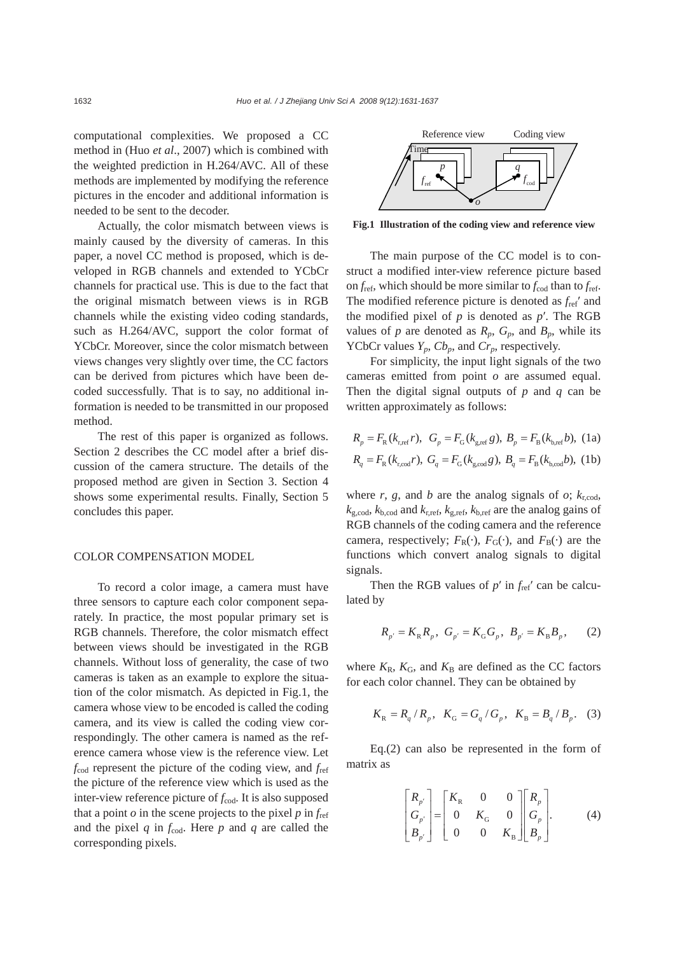computational complexities. We proposed a CC method in (Huo *et al*., 2007) which is combined with the weighted prediction in H.264/AVC. All of these methods are implemented by modifying the reference pictures in the encoder and additional information is needed to be sent to the decoder.

Actually, the color mismatch between views is mainly caused by the diversity of cameras. In this paper, a novel CC method is proposed, which is developed in RGB channels and extended to YCbCr channels for practical use. This is due to the fact that the original mismatch between views is in RGB channels while the existing video coding standards, such as H.264/AVC, support the color format of YCbCr. Moreover, since the color mismatch between views changes very slightly over time, the CC factors can be derived from pictures which have been decoded successfully. That is to say, no additional information is needed to be transmitted in our proposed method.

The rest of this paper is organized as follows. Section 2 describes the CC model after a brief discussion of the camera structure. The details of the proposed method are given in Section 3. Section 4 shows some experimental results. Finally, Section 5 concludes this paper.

# COLOR COMPENSATION MODEL

To record a color image, a camera must have three sensors to capture each color component separately. In practice, the most popular primary set is RGB channels. Therefore, the color mismatch effect between views should be investigated in the RGB channels. Without loss of generality, the case of two cameras is taken as an example to explore the situation of the color mismatch. As depicted in Fig.1, the camera whose view to be encoded is called the coding camera, and its view is called the coding view correspondingly. The other camera is named as the reference camera whose view is the reference view. Let *f*cod represent the picture of the coding view, and *f*ref the picture of the reference view which is used as the inter-view reference picture of  $f_{\text{cod}}$ . It is also supposed that a point  $\rho$  in the scene projects to the pixel  $p$  in  $f_{ref}$ and the pixel  $q$  in  $f_{\text{cod}}$ . Here  $p$  and  $q$  are called the corresponding pixels.



**Fig.1 Illustration of the coding view and reference view**

The main purpose of the CC model is to construct a modified inter-view reference picture based on  $f_{\text{ref}}$ , which should be more similar to  $f_{\text{cod}}$  than to  $f_{\text{ref}}$ . The modified reference picture is denoted as *f*ref′ and the modified pixel of *p* is denoted as *p*′. The RGB values of *p* are denoted as  $R_p$ ,  $G_p$ , and  $B_p$ , while its YCbCr values  $Y_p$ ,  $Cb_p$ , and  $Cr_p$ , respectively.

For simplicity, the input light signals of the two cameras emitted from point *o* are assumed equal. Then the digital signal outputs of *p* and *q* can be written approximately as follows:

$$
R_p = F_R(k_{r,ref}r), G_p = F_G(k_{g,ref}g), B_p = F_B(k_{b,ref}b), (1a)
$$
  

$$
R_q = F_R(k_{r,cod}r), G_q = F_G(k_{g,cod}g), B_q = F_B(k_{b,cod}b), (1b)
$$

where  $r$ ,  $g$ , and  $b$  are the analog signals of  $o$ ;  $k_{\text{r,cod}}$ ,  $k_{\text{g,cod}}$ ,  $k_{\text{b,cod}}$  and  $k_{\text{r,ref}}$ ,  $k_{\text{g,ref}}$ ,  $k_{\text{b,ref}}$  are the analog gains of RGB channels of the coding camera and the reference camera, respectively;  $F_R(\cdot)$ ,  $F_G(\cdot)$ , and  $F_R(\cdot)$  are the functions which convert analog signals to digital signals.

Then the RGB values of  $p'$  in  $f_{ref}'$  can be calculated by

$$
R_{p'} = K_R R_p
$$
,  $G_{p'} = K_G G_p$ ,  $B_{p'} = K_B B_p$ , (2)

where  $K_{\rm R}$ ,  $K_{\rm G}$ , and  $K_{\rm B}$  are defined as the CC factors for each color channel. They can be obtained by

$$
K_{\rm R} = R_q / R_p
$$
,  $K_{\rm G} = G_q / G_p$ ,  $K_{\rm B} = B_q / B_p$ . (3)

Eq.(2) can also be represented in the form of matrix as

$$
\begin{bmatrix} R_{p'} \\ G_{p'} \\ B_{p'} \end{bmatrix} = \begin{bmatrix} K_{\rm R} & 0 & 0 \\ 0 & K_{\rm G} & 0 \\ 0 & 0 & K_{\rm B} \end{bmatrix} \begin{bmatrix} R_p \\ G_p \\ B_p \end{bmatrix} .
$$
 (4)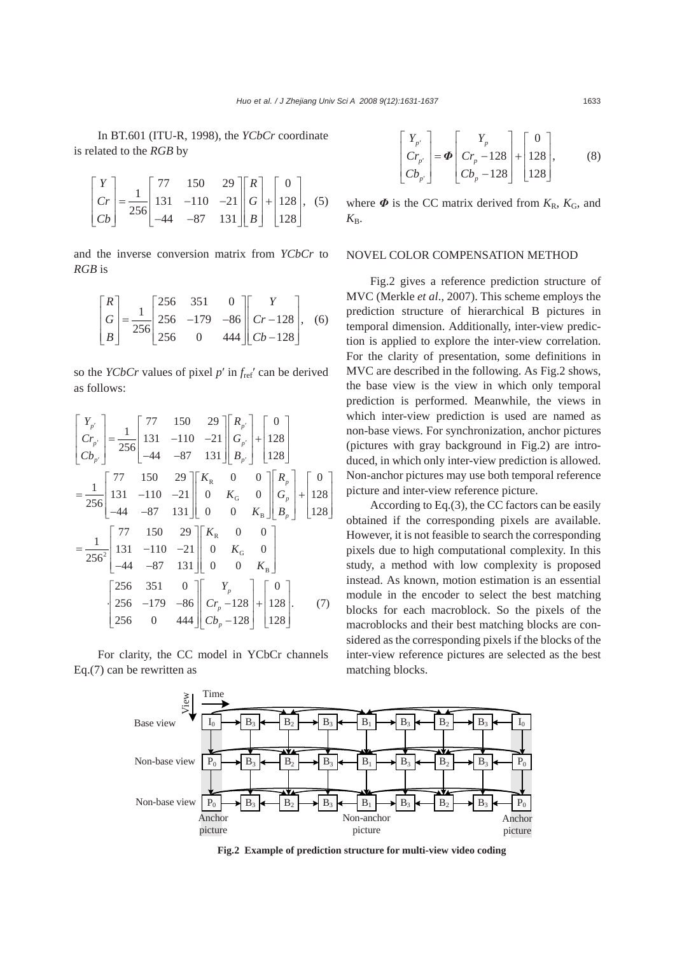In BT.601 (ITU-R, 1998), the *YCbCr* coordinate is related to the *RGB* by

$$
\begin{bmatrix} Y \\ Cr \\ Cb \end{bmatrix} = \frac{1}{256} \begin{bmatrix} 77 & 150 & 29 \\ 131 & -110 & -21 \\ -44 & -87 & 131 \end{bmatrix} \begin{bmatrix} R \\ G \\ B \end{bmatrix} + \begin{bmatrix} 0 \\ 128 \\ 128 \end{bmatrix},
$$
 (5)

and the inverse conversion matrix from *YCbCr* to *RGB* is

$$
\begin{bmatrix} R \\ G \\ B \end{bmatrix} = \frac{1}{256} \begin{bmatrix} 256 & 351 & 0 \\ 256 & -179 & -86 \\ 256 & 0 & 444 \end{bmatrix} \begin{bmatrix} Y \\ Cr - 128 \\ Cb - 128 \end{bmatrix}, \quad (6)
$$

so the *YCbCr* values of pixel *p*′ in *f*ref′ can be derived as follows:

$$
\begin{bmatrix}\nY_{p'} \\
C_{r_{p'}} \\
C_{b_{p'}}\n\end{bmatrix} = \frac{1}{256} \begin{bmatrix}\n77 & 150 & 29 \\
131 & -110 & -21 \\
-44 & -87 & 131\n\end{bmatrix} \begin{bmatrix}\nR_{p'} \\
G_{p'}\n\end{bmatrix} + \begin{bmatrix}\n0 \\
128 \\
128\n\end{bmatrix}
$$
\n
$$
= \frac{1}{256} \begin{bmatrix}\n77 & 150 & 29 \\
131 & -110 & -21 \\
-44 & -87 & 131\n\end{bmatrix} \begin{bmatrix}\nK_{R} & 0 & 0 \\
0 & K_{G} & 0 \\
0 & 0 & K_{B}\n\end{bmatrix} \begin{bmatrix}\nR_{p} \\
G_{p}\n\end{bmatrix} + \begin{bmatrix}\n0 \\
128\n\end{bmatrix}
$$
\n
$$
= \frac{1}{256^{2}} \begin{bmatrix}\n77 & 150 & 29 \\
131 & -110 & -21 \\
-44 & -87 & 131\n\end{bmatrix} \begin{bmatrix}\nK_{R} & 0 & 0 \\
0 & K_{G} & 0 \\
0 & 0 & K_{B}\n\end{bmatrix}
$$
\n
$$
\begin{bmatrix}\n256 & 351 & 0 \\
256 & -179 & -86 \\
256 & 0 & 444\n\end{bmatrix} \begin{bmatrix}\nY_{p} \\
C_{r} \\
-128\n\end{bmatrix} + \begin{bmatrix}\n0 \\
128 \\
128\n\end{bmatrix}.
$$
 (7)

For clarity, the CC model in YCbCr channels Eq.(7) can be rewritten as

$$
\begin{bmatrix} Y_{p'} \\ Cr_{p'} \\ Cb_{p'} \end{bmatrix} = \boldsymbol{\Phi} \begin{bmatrix} Y_p \\ Cr_p - 128 \\ Cb_p - 128 \end{bmatrix} + \begin{bmatrix} 0 \\ 128 \\ 128 \end{bmatrix},
$$
 (8)

where  $\Phi$  is the CC matrix derived from  $K_R$ ,  $K_G$ , and  $K_{\rm B}$ .

# NOVEL COLOR COMPENSATION METHOD

Fig.2 gives a reference prediction structure of MVC (Merkle *et al*., 2007). This scheme employs the prediction structure of hierarchical B pictures in temporal dimension. Additionally, inter-view prediction is applied to explore the inter-view correlation. For the clarity of presentation, some definitions in MVC are described in the following. As Fig.2 shows, the base view is the view in which only temporal prediction is performed. Meanwhile, the views in which inter-view prediction is used are named as non-base views. For synchronization, anchor pictures (pictures with gray background in Fig.2) are introduced, in which only inter-view prediction is allowed. Non-anchor pictures may use both temporal reference picture and inter-view reference picture.

According to Eq.(3), the CC factors can be easily obtained if the corresponding pixels are available. However, it is not feasible to search the corresponding pixels due to high computational complexity. In this study, a method with low complexity is proposed instead. As known, motion estimation is an essential module in the encoder to select the best matching blocks for each macroblock. So the pixels of the macroblocks and their best matching blocks are considered as the corresponding pixels if the blocks of the inter-view reference pictures are selected as the best matching blocks.



**Fig.2 Example of prediction structure for multi-view video coding**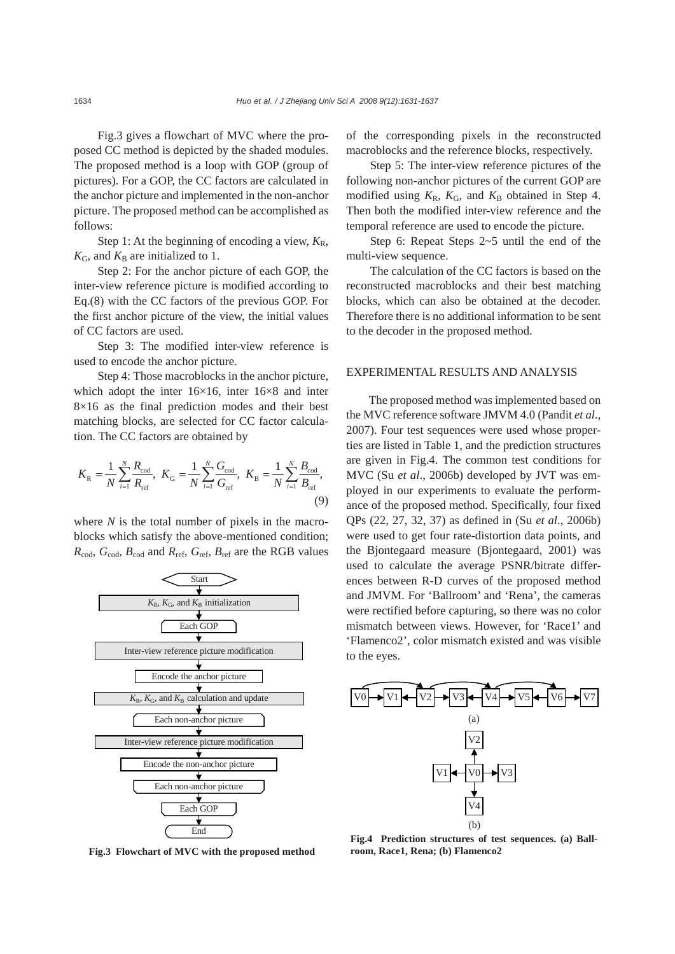Fig.3 gives a flowchart of MVC where the proposed CC method is depicted by the shaded modules. The proposed method is a loop with GOP (group of pictures). For a GOP, the CC factors are calculated in the anchor picture and implemented in the non-anchor picture. The proposed method can be accomplished as follows:

Step 1: At the beginning of encoding a view,  $K_R$ ,  $K_G$ , and  $K_B$  are initialized to 1.

Step 2: For the anchor picture of each GOP, the inter-view reference picture is modified according to Eq.(8) with the CC factors of the previous GOP. For the first anchor picture of the view, the initial values of CC factors are used.

Step 3: The modified inter-view reference is used to encode the anchor picture.

Step 4: Those macroblocks in the anchor picture, which adopt the inter 16×16, inter 16×8 and inter  $8\times16$  as the final prediction modes and their best matching blocks, are selected for CC factor calculation. The CC factors are obtained by

$$
K_{\rm R} = \frac{1}{N} \sum_{i=1}^{N} \frac{R_{\rm cod}}{R_{\rm ref}}, \ K_{\rm G} = \frac{1}{N} \sum_{i=1}^{N} \frac{G_{\rm cod}}{G_{\rm ref}}, \ K_{\rm B} = \frac{1}{N} \sum_{i=1}^{N} \frac{B_{\rm cod}}{B_{\rm ref}}, \tag{9}
$$

where *N* is the total number of pixels in the macroblocks which satisfy the above-mentioned condition;  $R_{\text{cod}}$ ,  $G_{\text{cod}}$ ,  $B_{\text{cod}}$  and  $R_{\text{ref}}$ ,  $G_{\text{ref}}$ ,  $B_{\text{ref}}$  are the RGB values



**Fig.3 Flowchart of MVC with the proposed method**

of the corresponding pixels in the reconstructed macroblocks and the reference blocks, respectively.

Step 5: The inter-view reference pictures of the following non-anchor pictures of the current GOP are modified using  $K_R$ ,  $K_G$ , and  $K_B$  obtained in Step 4. Then both the modified inter-view reference and the temporal reference are used to encode the picture.

Step 6: Repeat Steps 2~5 until the end of the multi-view sequence.

The calculation of the CC factors is based on the reconstructed macroblocks and their best matching blocks, which can also be obtained at the decoder. Therefore there is no additional information to be sent to the decoder in the proposed method.

## EXPERIMENTAL RESULTS AND ANALYSIS

The proposed method was implemented based on the MVC reference software JMVM 4.0 (Pandit *et al*., 2007). Four test sequences were used whose properties are listed in Table 1, and the prediction structures are given in Fig.4. The common test conditions for MVC (Su *et al*., 2006b) developed by JVT was employed in our experiments to evaluate the performance of the proposed method. Specifically, four fixed QPs (22, 27, 32, 37) as defined in (Su *et al*., 2006b) were used to get four rate-distortion data points, and the Bjontegaard measure (Bjontegaard, 2001) was used to calculate the average PSNR/bitrate differences between R-D curves of the proposed method and JMVM. For 'Ballroom' and 'Rena', the cameras were rectified before capturing, so there was no color mismatch between views. However, for 'Race1' and 'Flamenco2', color mismatch existed and was visible to the eyes.



**Fig.4 Prediction structures of test sequences. (a) Ballroom, Race1, Rena; (b) Flamenco2**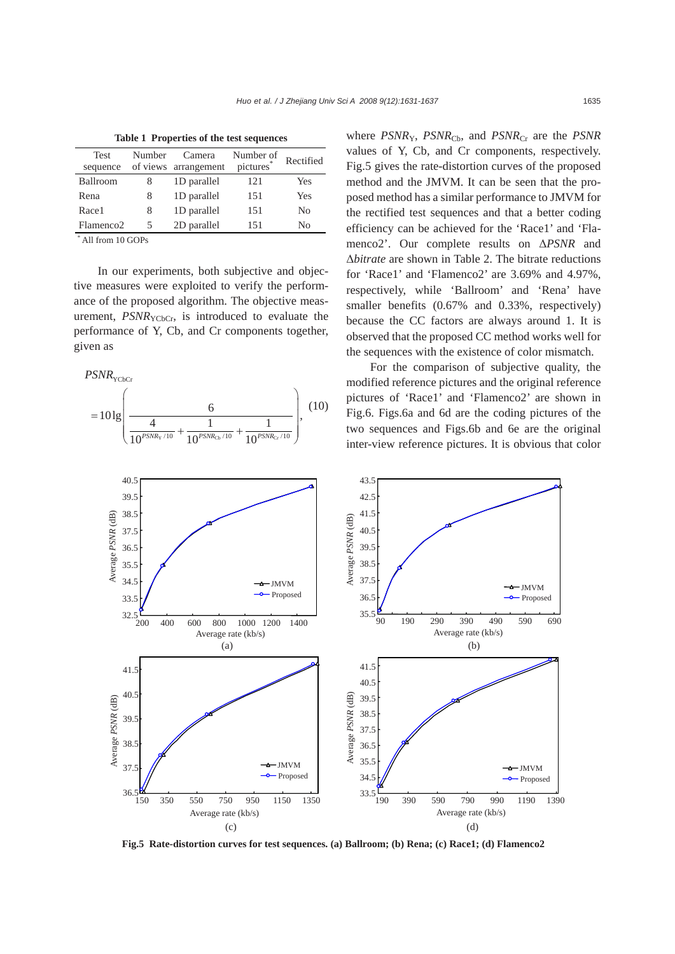| Table 1 Troperucs of the test sequences |        |                      |           |           |
|-----------------------------------------|--------|----------------------|-----------|-----------|
| <b>Test</b>                             | Number | Camera               | Number of | Rectified |
| sequence                                |        | of views arrangement | pictures  |           |
| Ballroom                                | 8      | 1D parallel          | 121       | Yes       |
| Rena                                    | 8      | 1D parallel          | 151       | Yes       |
| Race1                                   | 8      | 1D parallel          | 151       | No        |
| Flamenco <sub>2</sub>                   | 5      | 2D parallel          | 151       | No        |
|                                         |        |                      |           |           |

**Table 1 Properties of the test sequences** 

\* All from 10 GOPs

In our experiments, both subjective and objective measures were exploited to verify the performance of the proposed algorithm. The objective measurement,  $PSNR_{YChCr}$ , is introduced to evaluate the performance of Y, Cb, and Cr components together, given as



where *PSNR<sub>Y</sub>*, *PSNR<sub>Cb</sub>*, and *PSNR<sub>Cr</sub>* are the *PSNR* values of Y, Cb, and Cr components, respectively. Fig.5 gives the rate-distortion curves of the proposed method and the JMVM. It can be seen that the proposed method has a similar performance to JMVM for the rectified test sequences and that a better coding efficiency can be achieved for the 'Race1' and 'Flamenco2'. Our complete results on Δ*PSNR* and Δ*bitrate* are shown in Table 2. The bitrate reductions for 'Race1' and 'Flamenco2' are 3.69% and 4.97%, respectively, while 'Ballroom' and 'Rena' have smaller benefits (0.67% and 0.33%, respectively) because the CC factors are always around 1. It is observed that the proposed CC method works well for the sequences with the existence of color mismatch.

For the comparison of subjective quality, the modified reference pictures and the original reference pictures of 'Race1' and 'Flamenco2' are shown in Fig.6. Figs.6a and 6d are the coding pictures of the two sequences and Figs.6b and 6e are the original inter-view reference pictures. It is obvious that color



**Fig.5 Rate-distortion curves for test sequences. (a) Ballroom; (b) Rena; (c) Race1; (d) Flamenco2**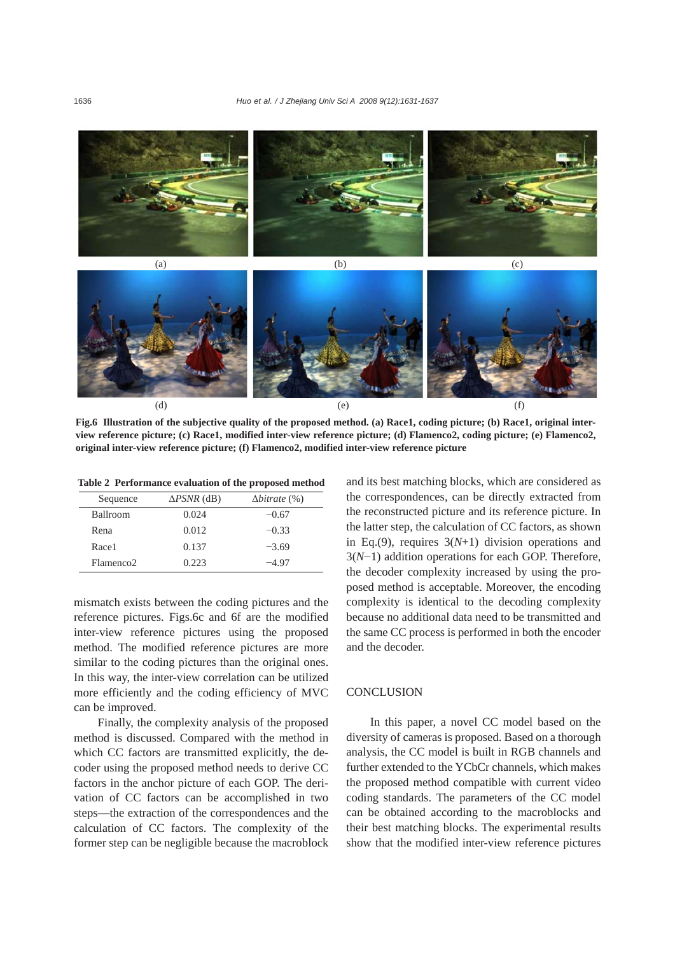

**Fig.6 Illustration of the subjective quality of the proposed method. (a) Race1, coding picture; (b) Race1, original interview reference picture; (c) Race1, modified inter-view reference picture; (d) Flamenco2, coding picture; (e) Flamenco2, original inter-view reference picture; (f) Flamenco2, modified inter-view reference picture**

**Table 2 Performance evaluation of the proposed method** 

| Sequence              | $\triangle PSNR$ (dB) | $\Delta$ <i>bitrate</i> $(\%)$ |
|-----------------------|-----------------------|--------------------------------|
| <b>Ballroom</b>       | 0.024                 | $-0.67$                        |
| Rena                  | 0.012                 | $-0.33$                        |
| Race1                 | 0.137                 | $-3.69$                        |
| Flamenco <sub>2</sub> | 0.223                 | $-4.97$                        |

mismatch exists between the coding pictures and the reference pictures. Figs.6c and 6f are the modified inter-view reference pictures using the proposed method. The modified reference pictures are more similar to the coding pictures than the original ones. In this way, the inter-view correlation can be utilized more efficiently and the coding efficiency of MVC can be improved.

Finally, the complexity analysis of the proposed method is discussed. Compared with the method in which CC factors are transmitted explicitly, the decoder using the proposed method needs to derive CC factors in the anchor picture of each GOP. The derivation of CC factors can be accomplished in two steps—the extraction of the correspondences and the calculation of CC factors. The complexity of the former step can be negligible because the macroblock and its best matching blocks, which are considered as the correspondences, can be directly extracted from the reconstructed picture and its reference picture. In the latter step, the calculation of CC factors, as shown in Eq.(9), requires 3(*N*+1) division operations and 3(*N*−1) addition operations for each GOP. Therefore, the decoder complexity increased by using the proposed method is acceptable. Moreover, the encoding complexity is identical to the decoding complexity because no additional data need to be transmitted and the same CC process is performed in both the encoder and the decoder.

#### **CONCLUSION**

In this paper, a novel CC model based on the diversity of cameras is proposed. Based on a thorough analysis, the CC model is built in RGB channels and further extended to the YCbCr channels, which makes the proposed method compatible with current video coding standards. The parameters of the CC model can be obtained according to the macroblocks and their best matching blocks. The experimental results show that the modified inter-view reference pictures